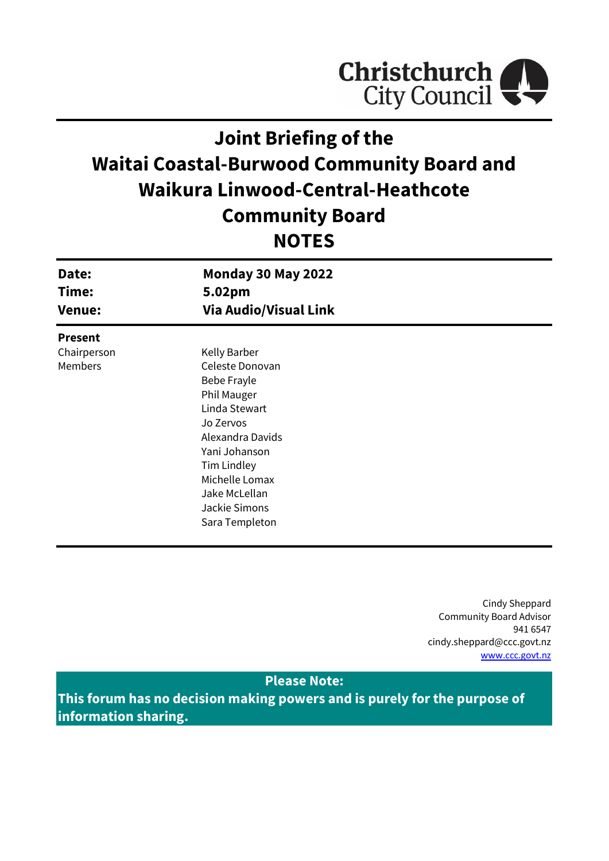

# **Joint Briefing of the Waitai Coastal-Burwood Community Board and Waikura Linwood-Central-Heathcote Community Board NOTES**

| Date:<br>Time:<br><b>Venue:</b> | <b>Monday 30 May 2022</b><br>5.02pm<br><b>Via Audio/Visual Link</b> |  |
|---------------------------------|---------------------------------------------------------------------|--|
| <b>Present</b>                  |                                                                     |  |
| Chairperson                     | Kelly Barber                                                        |  |
| Members                         | Celeste Donovan                                                     |  |
|                                 | Bebe Frayle                                                         |  |
|                                 | <b>Phil Mauger</b>                                                  |  |
|                                 | Linda Stewart                                                       |  |
|                                 | Jo Zervos                                                           |  |
|                                 | Alexandra Davids                                                    |  |
|                                 | Yani Johanson                                                       |  |
|                                 | <b>Tim Lindley</b>                                                  |  |
|                                 | Michelle Lomax                                                      |  |
|                                 | Jake McLellan                                                       |  |
|                                 | Jackie Simons                                                       |  |
|                                 | Sara Templeton                                                      |  |

Cindy Sheppard Community Board Advisor 941 6547 cindy.sheppard@ccc.govt.nz [www.ccc.govt.nz](http://www.ccc.govt.nz/)

## **Please Note:**

**This forum has no decision making powers and is purely for the purpose of information sharing.**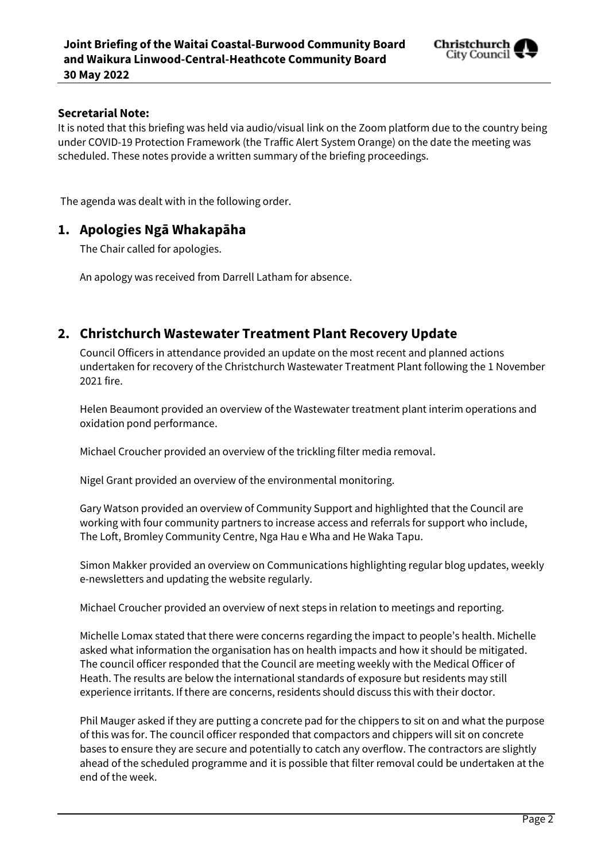

#### **Secretarial Note:**

It is noted that this briefing was held via audio/visual link on the Zoom platform due to the country being under COVID-19 Protection Framework (the Traffic Alert System Orange) on the date the meeting was scheduled. These notes provide a written summary of the briefing proceedings.

The agenda was dealt with in the following order.

## **1. Apologies Ngā Whakapāha**

The Chair called for apologies.

An apology was received from Darrell Latham for absence.

## **2. Christchurch Wastewater Treatment Plant Recovery Update**

Council Officers in attendance provided an update on the most recent and planned actions undertaken for recovery of the Christchurch Wastewater Treatment Plant following the 1 November 2021 fire.

Helen Beaumont provided an overview of the Wastewater treatment plant interim operations and oxidation pond performance.

Michael Croucher provided an overview of the trickling filter media removal.

Nigel Grant provided an overview of the environmental monitoring.

Gary Watson provided an overview of Community Support and highlighted that the Council are working with four community partners to increase access and referrals for support who include, The Loft, Bromley Community Centre, Nga Hau e Wha and He Waka Tapu.

Simon Makker provided an overview on Communications highlighting regular blog updates, weekly e-newsletters and updating the website regularly.

Michael Croucher provided an overview of next steps in relation to meetings and reporting.

Michelle Lomax stated that there were concerns regarding the impact to people's health. Michelle asked what information the organisation has on health impacts and how it should be mitigated. The council officer responded that the Council are meeting weekly with the Medical Officer of Heath. The results are below the international standards of exposure but residents may still experience irritants. If there are concerns, residents should discuss this with their doctor.

Phil Mauger asked if they are putting a concrete pad for the chippers to sit on and what the purpose of this was for. The council officer responded that compactors and chippers will sit on concrete bases to ensure they are secure and potentially to catch any overflow. The contractors are slightly ahead of the scheduled programme and it is possible that filter removal could be undertaken at the end of the week.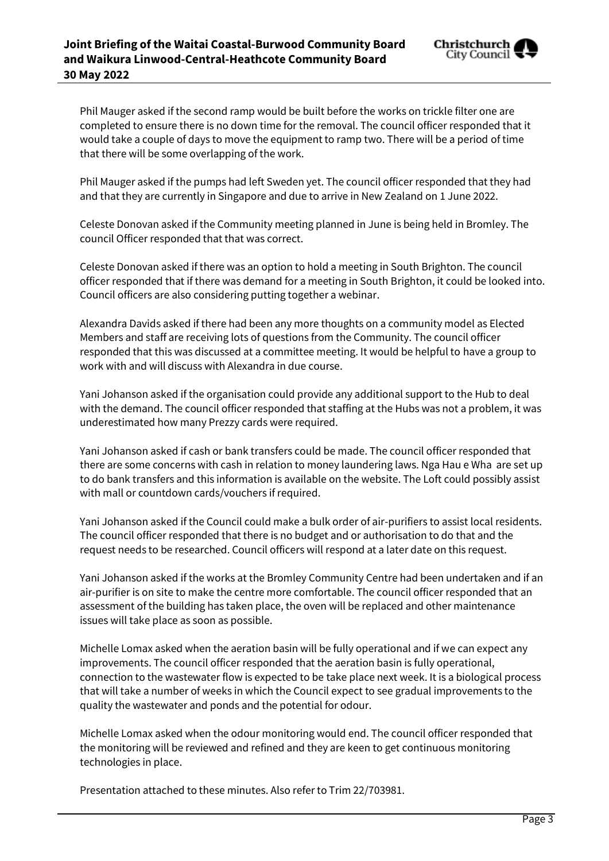Phil Mauger asked if the second ramp would be built before the works on trickle filter one are completed to ensure there is no down time for the removal. The council officer responded that it would take a couple of days to move the equipment to ramp two. There will be a period of time that there will be some overlapping of the work.

Phil Mauger asked if the pumps had left Sweden yet. The council officer responded that they had and that they are currently in Singapore and due to arrive in New Zealand on 1 June 2022.

Celeste Donovan asked if the Community meeting planned in June is being held in Bromley. The council Officer responded that that was correct.

Celeste Donovan asked if there was an option to hold a meeting in South Brighton. The council officer responded that if there was demand for a meeting in South Brighton, it could be looked into. Council officers are also considering putting together a webinar.

Alexandra Davids asked if there had been any more thoughts on a community model as Elected Members and staff are receiving lots of questions from the Community. The council officer responded that this was discussed at a committee meeting. It would be helpful to have a group to work with and will discuss with Alexandra in due course.

Yani Johanson asked if the organisation could provide any additional support to the Hub to deal with the demand. The council officer responded that staffing at the Hubs was not a problem, it was underestimated how many Prezzy cards were required.

Yani Johanson asked if cash or bank transfers could be made. The council officer responded that there are some concerns with cash in relation to money laundering laws. Nga Hau e Wha are set up to do bank transfers and this information is available on the website. The Loft could possibly assist with mall or countdown cards/vouchers if required.

Yani Johanson asked if the Council could make a bulk order of air-purifiers to assist local residents. The council officer responded that there is no budget and or authorisation to do that and the request needs to be researched. Council officers will respond at a later date on this request.

Yani Johanson asked if the works at the Bromley Community Centre had been undertaken and if an air-purifier is on site to make the centre more comfortable. The council officer responded that an assessment of the building has taken place, the oven will be replaced and other maintenance issues will take place as soon as possible.

Michelle Lomax asked when the aeration basin will be fully operational and if we can expect any improvements. The council officer responded that the aeration basin is fully operational, connection to the wastewater flow is expected to be take place next week. It is a biological process that will take a number of weeks in which the Council expect to see gradual improvements to the quality the wastewater and ponds and the potential for odour.

Michelle Lomax asked when the odour monitoring would end. The council officer responded that the monitoring will be reviewed and refined and they are keen to get continuous monitoring technologies in place.

Presentation attached to these minutes. Also refer to Trim 22/703981.